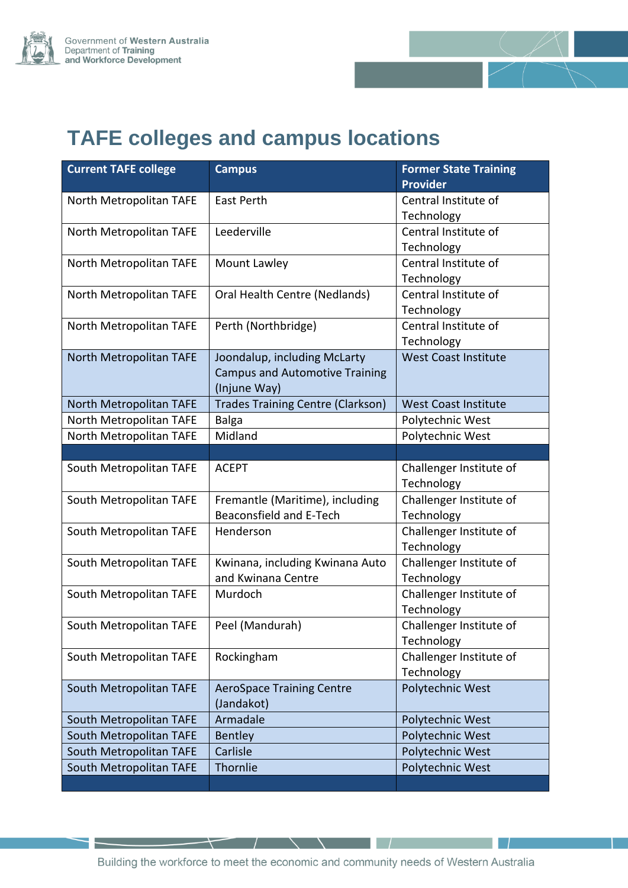



# **TAFE colleges and campus locations**

| <b>Current TAFE college</b> | <b>Campus</b>                                                                         | <b>Former State Training</b><br><b>Provider</b> |
|-----------------------------|---------------------------------------------------------------------------------------|-------------------------------------------------|
| North Metropolitan TAFE     | <b>East Perth</b>                                                                     | Central Institute of<br>Technology              |
| North Metropolitan TAFE     | Leederville                                                                           | Central Institute of<br>Technology              |
| North Metropolitan TAFE     | Mount Lawley                                                                          | Central Institute of<br>Technology              |
| North Metropolitan TAFE     | Oral Health Centre (Nedlands)                                                         | Central Institute of<br>Technology              |
| North Metropolitan TAFE     | Perth (Northbridge)                                                                   | Central Institute of<br>Technology              |
| North Metropolitan TAFE     | Joondalup, including McLarty<br><b>Campus and Automotive Training</b><br>(Injune Way) | <b>West Coast Institute</b>                     |
| North Metropolitan TAFE     | <b>Trades Training Centre (Clarkson)</b>                                              | <b>West Coast Institute</b>                     |
| North Metropolitan TAFE     | <b>Balga</b>                                                                          | Polytechnic West                                |
| North Metropolitan TAFE     | Midland                                                                               | Polytechnic West                                |
|                             |                                                                                       |                                                 |
| South Metropolitan TAFE     | <b>ACEPT</b>                                                                          | Challenger Institute of<br>Technology           |
| South Metropolitan TAFE     | Fremantle (Maritime), including<br>Beaconsfield and E-Tech                            | Challenger Institute of<br>Technology           |
| South Metropolitan TAFE     | Henderson                                                                             | Challenger Institute of<br>Technology           |
| South Metropolitan TAFE     | Kwinana, including Kwinana Auto<br>and Kwinana Centre                                 | Challenger Institute of<br>Technology           |
| South Metropolitan TAFE     | Murdoch                                                                               | Challenger Institute of<br>Technology           |
| South Metropolitan TAFE     | Peel (Mandurah)                                                                       | Challenger Institute of<br>Technology           |
| South Metropolitan TAFE     | Rockingham                                                                            | Challenger Institute of<br>Technology           |
| South Metropolitan TAFE     | <b>AeroSpace Training Centre</b><br>(Jandakot)                                        | Polytechnic West                                |
| South Metropolitan TAFE     | Armadale                                                                              | Polytechnic West                                |
| South Metropolitan TAFE     | <b>Bentley</b>                                                                        | Polytechnic West                                |
| South Metropolitan TAFE     | Carlisle                                                                              | Polytechnic West                                |
| South Metropolitan TAFE     | Thornlie                                                                              | Polytechnic West                                |
|                             |                                                                                       |                                                 |

 $\,{}^+$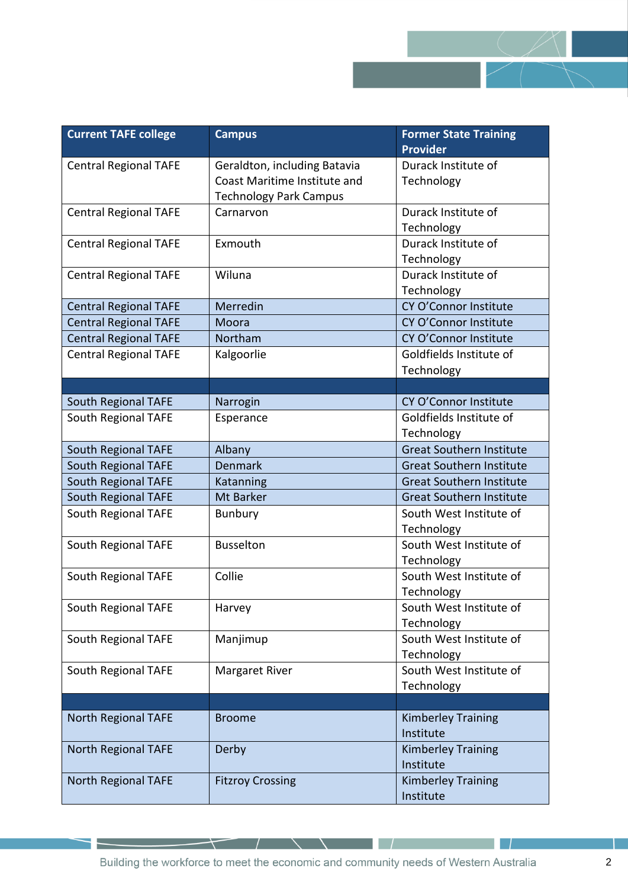

| <b>Current TAFE college</b>  | <b>Campus</b>                 | <b>Former State Training</b><br><b>Provider</b> |
|------------------------------|-------------------------------|-------------------------------------------------|
| <b>Central Regional TAFE</b> | Geraldton, including Batavia  | Durack Institute of                             |
|                              | Coast Maritime Institute and  | Technology                                      |
|                              | <b>Technology Park Campus</b> |                                                 |
| <b>Central Regional TAFE</b> | Carnarvon                     | Durack Institute of                             |
|                              |                               | Technology                                      |
| <b>Central Regional TAFE</b> | Exmouth                       | Durack Institute of                             |
|                              |                               | Technology                                      |
| <b>Central Regional TAFE</b> | Wiluna                        | Durack Institute of                             |
|                              |                               | Technology                                      |
| <b>Central Regional TAFE</b> | Merredin                      | CY O'Connor Institute                           |
| <b>Central Regional TAFE</b> | Moora                         | CY O'Connor Institute                           |
| <b>Central Regional TAFE</b> | Northam                       | CY O'Connor Institute                           |
| <b>Central Regional TAFE</b> | Kalgoorlie                    | Goldfields Institute of                         |
|                              |                               | Technology                                      |
|                              |                               |                                                 |
| <b>South Regional TAFE</b>   | Narrogin                      | CY O'Connor Institute                           |
| South Regional TAFE          | Esperance                     | Goldfields Institute of                         |
|                              |                               | Technology                                      |
| <b>South Regional TAFE</b>   | Albany                        | <b>Great Southern Institute</b>                 |
| <b>South Regional TAFE</b>   | <b>Denmark</b>                | <b>Great Southern Institute</b>                 |
| <b>South Regional TAFE</b>   | Katanning                     | <b>Great Southern Institute</b>                 |
| <b>South Regional TAFE</b>   | <b>Mt Barker</b>              | <b>Great Southern Institute</b>                 |
| South Regional TAFE          | <b>Bunbury</b>                | South West Institute of                         |
|                              |                               | Technology                                      |
| South Regional TAFE          | <b>Busselton</b>              | South West Institute of                         |
|                              |                               | Technology                                      |
| South Regional TAFE          | Collie                        | South West Institute of                         |
|                              |                               | Technology                                      |
| South Regional TAFE          | Harvey                        | South West Institute of                         |
|                              |                               | Technology                                      |
| South Regional TAFE          | Manjimup                      | South West Institute of                         |
|                              |                               | Technology                                      |
| South Regional TAFE          | <b>Margaret River</b>         | South West Institute of                         |
|                              |                               | Technology                                      |
|                              |                               |                                                 |
| North Regional TAFE          | <b>Broome</b>                 | <b>Kimberley Training</b>                       |
|                              |                               | Institute                                       |
| <b>North Regional TAFE</b>   | Derby                         | <b>Kimberley Training</b>                       |
|                              |                               | Institute                                       |
| North Regional TAFE          | <b>Fitzroy Crossing</b>       | <b>Kimberley Training</b>                       |
|                              |                               | Institute                                       |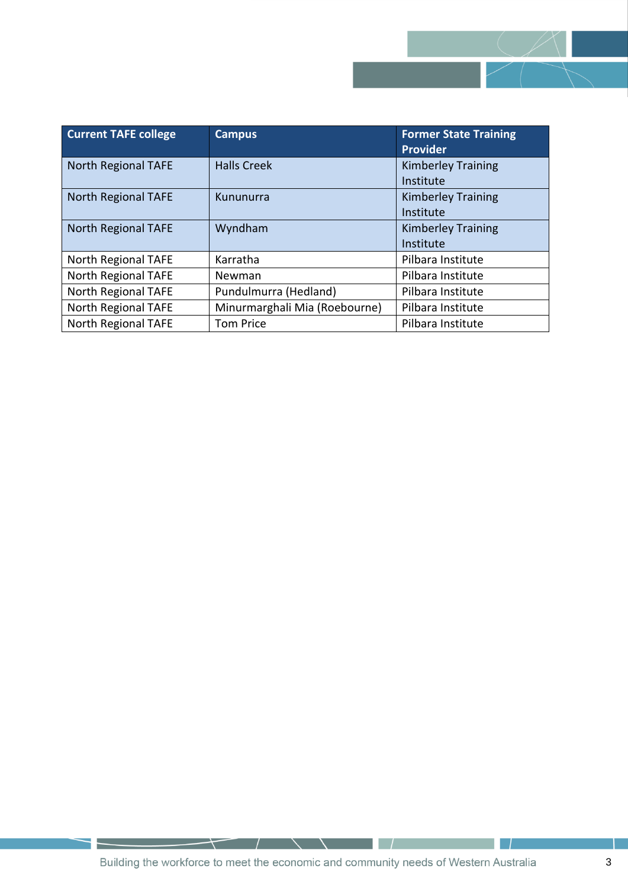

| <b>Current TAFE college</b> | <b>Campus</b>                 | <b>Former State Training</b><br><b>Provider</b> |
|-----------------------------|-------------------------------|-------------------------------------------------|
| <b>North Regional TAFE</b>  | <b>Halls Creek</b>            | <b>Kimberley Training</b><br>Institute          |
| North Regional TAFE         | Kununurra                     | <b>Kimberley Training</b><br>Institute          |
| North Regional TAFE         | Wyndham                       | <b>Kimberley Training</b><br>Institute          |
| North Regional TAFE         | Karratha                      | Pilbara Institute                               |
| North Regional TAFE         | Newman                        | Pilbara Institute                               |
| North Regional TAFE         | Pundulmurra (Hedland)         | Pilbara Institute                               |
| North Regional TAFE         | Minurmarghali Mia (Roebourne) | Pilbara Institute                               |
| North Regional TAFE         | <b>Tom Price</b>              | Pilbara Institute                               |